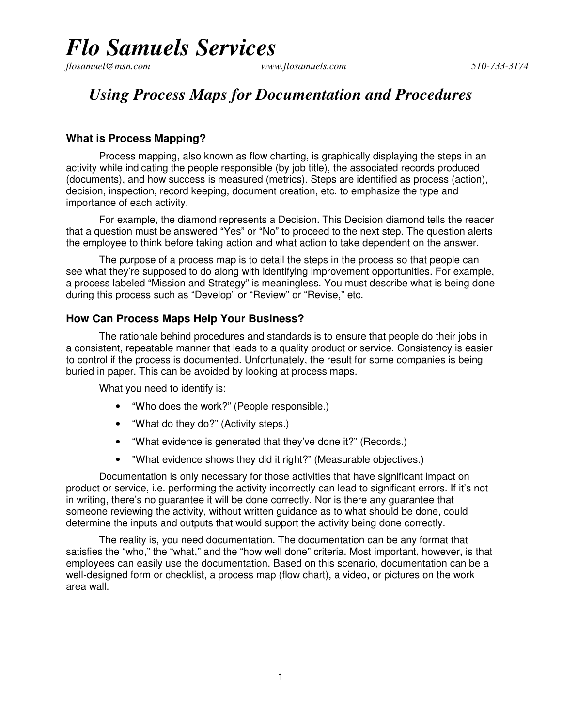flosamuel@msn.com

### *Using Process Maps for Documentation and Procedures*

### **What is Process Mapping?**

Process mapping, also known as flow charting, is graphically displaying the steps in an activity while indicating the people responsible (by job title), the associated records produced (documents), and how success is measured (metrics). Steps are identified as process (action), decision, inspection, record keeping, document creation, etc. to emphasize the type and importance of each activity.

For example, the diamond represents a Decision. This Decision diamond tells the reader that a question must be answered "Yes" or "No" to proceed to the next step. The question alerts the employee to think before taking action and what action to take dependent on the answer.

The purpose of a process map is to detail the steps in the process so that people can see what they're supposed to do along with identifying improvement opportunities. For example, a process labeled "Mission and Strategy" is meaningless. You must describe what is being done during this process such as "Develop" or "Review" or "Revise," etc.

### **How Can Process Maps Help Your Business?**

The rationale behind procedures and standards is to ensure that people do their jobs in a consistent, repeatable manner that leads to a quality product or service. Consistency is easier to control if the process is documented. Unfortunately, the result for some companies is being buried in paper. This can be avoided by looking at process maps.

What you need to identify is:

- "Who does the work?" (People responsible.)
- "What do they do?" (Activity steps.)
- "What evidence is generated that they've done it?" (Records.)
- "What evidence shows they did it right?" (Measurable objectives.)

Documentation is only necessary for those activities that have significant impact on product or service, i.e. performing the activity incorrectly can lead to significant errors. If it's not in writing, there's no guarantee it will be done correctly. Nor is there any guarantee that someone reviewing the activity, without written guidance as to what should be done, could determine the inputs and outputs that would support the activity being done correctly.

The reality is, you need documentation. The documentation can be any format that satisfies the "who," the "what," and the "how well done" criteria. Most important, however, is that employees can easily use the documentation. Based on this scenario, documentation can be a well-designed form or checklist, a process map (flow chart), a video, or pictures on the work area wall.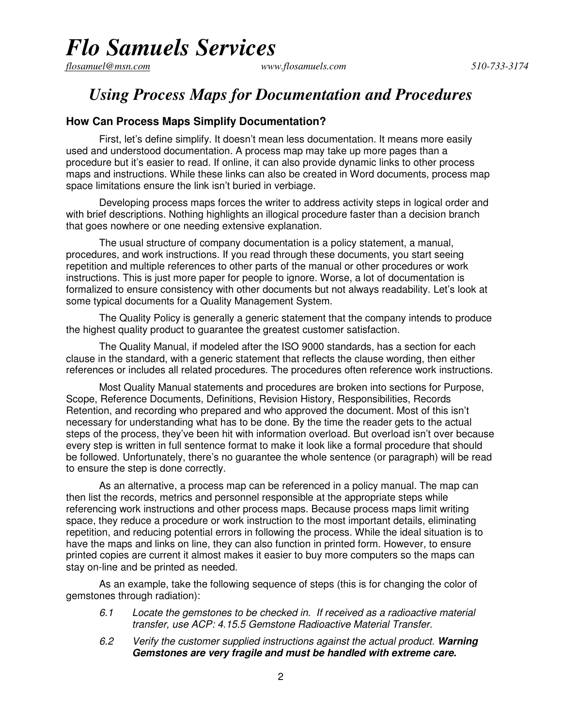flosamuel@msn.com

*flosamuel@msn.com www.flosamuels.com 510-733-3174* 

### *Using Process Maps for Documentation and Procedures*

#### **How Can Process Maps Simplify Documentation?**

First, let's define simplify. It doesn't mean less documentation. It means more easily used and understood documentation. A process map may take up more pages than a procedure but it's easier to read. If online, it can also provide dynamic links to other process maps and instructions. While these links can also be created in Word documents, process map space limitations ensure the link isn't buried in verbiage.

Developing process maps forces the writer to address activity steps in logical order and with brief descriptions. Nothing highlights an illogical procedure faster than a decision branch that goes nowhere or one needing extensive explanation.

The usual structure of company documentation is a policy statement, a manual, procedures, and work instructions. If you read through these documents, you start seeing repetition and multiple references to other parts of the manual or other procedures or work instructions. This is just more paper for people to ignore. Worse, a lot of documentation is formalized to ensure consistency with other documents but not always readability. Let's look at some typical documents for a Quality Management System.

The Quality Policy is generally a generic statement that the company intends to produce the highest quality product to guarantee the greatest customer satisfaction.

The Quality Manual, if modeled after the ISO 9000 standards, has a section for each clause in the standard, with a generic statement that reflects the clause wording, then either references or includes all related procedures. The procedures often reference work instructions.

Most Quality Manual statements and procedures are broken into sections for Purpose, Scope, Reference Documents, Definitions, Revision History, Responsibilities, Records Retention, and recording who prepared and who approved the document. Most of this isn't necessary for understanding what has to be done. By the time the reader gets to the actual steps of the process, they've been hit with information overload. But overload isn't over because every step is written in full sentence format to make it look like a formal procedure that should be followed. Unfortunately, there's no guarantee the whole sentence (or paragraph) will be read to ensure the step is done correctly.

As an alternative, a process map can be referenced in a policy manual. The map can then list the records, metrics and personnel responsible at the appropriate steps while referencing work instructions and other process maps. Because process maps limit writing space, they reduce a procedure or work instruction to the most important details, eliminating repetition, and reducing potential errors in following the process. While the ideal situation is to have the maps and links on line, they can also function in printed form. However, to ensure printed copies are current it almost makes it easier to buy more computers so the maps can stay on-line and be printed as needed.

As an example, take the following sequence of steps (this is for changing the color of gemstones through radiation):

- 6.1 Locate the gemstones to be checked in. If received as a radioactive material transfer, use ACP: 4.15.5 Gemstone Radioactive Material Transfer.
- 6.2 Verify the customer supplied instructions against the actual product. **Warning Gemstones are very fragile and must be handled with extreme care.**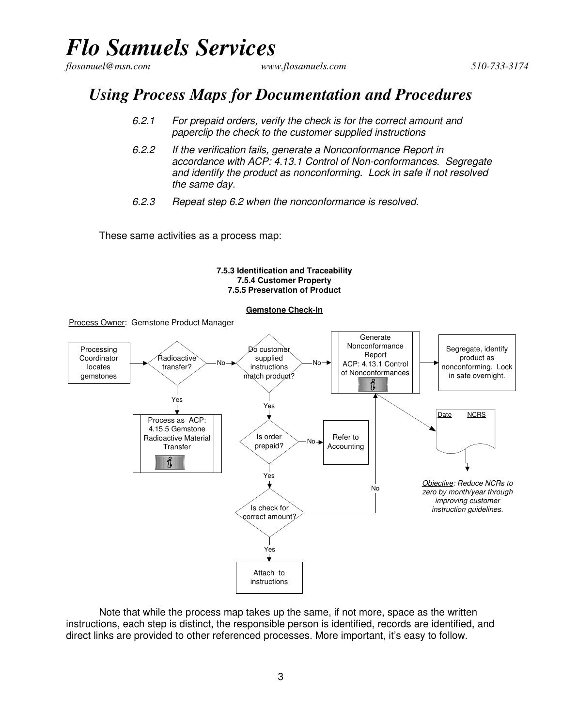flosamuel@msn.com

*flosamuel@msn.com www.flosamuels.com 510-733-3174* 

### *Using Process Maps for Documentation and Procedures*

- 6.2.1 For prepaid orders, verify the check is for the correct amount and paperclip the check to the customer supplied instructions
- 6.2.2 If the verification fails, generate a Nonconformance Report in accordance with ACP: 4.13.1 Control of Non-conformances. Segregate and identify the product as nonconforming. Lock in safe if not resolved the same day.
- 6.2.3 Repeat step 6.2 when the nonconformance is resolved.

These same activities as a process map:

Process Owner: Gemstone Product Manager

#### **7.5.3 Identification and Traceability 7.5.4 Customer Property 7.5.5 Preservation of Product**

#### **Gemstone Check-In**

Generate Nonconformance Segregate, identify Processing Dó custome Report Coordinator Radioactive supplied product as No ACP: 4.13.1 Control No locates transfer? instructions nonconforming. Lock of Nonconformances in safe overnight. gemstones match product? Ŭ Yes Yes Date NCRS Process as ACP: 4.15.5 Gemstone Is order Refer to Radioactive Material No prepaid? Accounting **Transfer** ขึ Yes Objective: Reduce NCRs to No zero by month/year through improving customer Is check for instruction guidelines. correct amount? Yes Attach to instructions

Note that while the process map takes up the same, if not more, space as the written instructions, each step is distinct, the responsible person is identified, records are identified, and direct links are provided to other referenced processes. More important, it's easy to follow.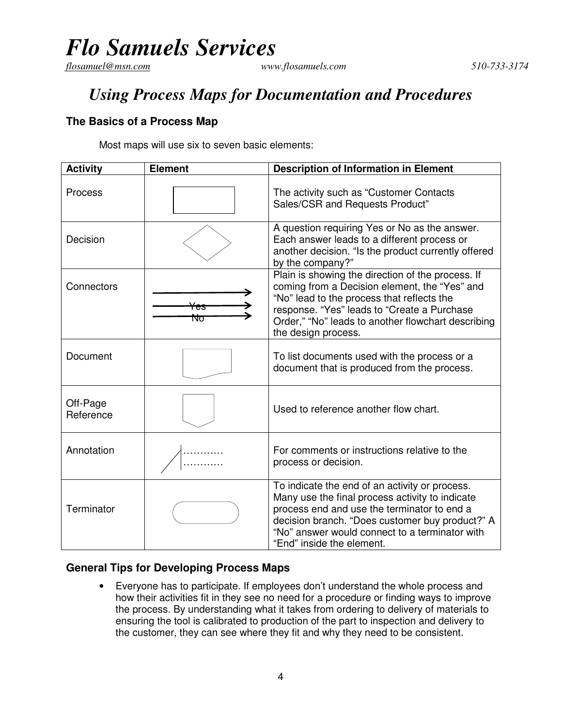flosamuel@msn.com

## *Using Process Maps for Documentation and Procedures*

### **The Basics of a Process Map**

Most maps will use six to seven basic elements:

| <b>Activity</b>       | <b>Element</b> | <b>Description of Information in Element</b>                                                                                                                                                                                                                                       |
|-----------------------|----------------|------------------------------------------------------------------------------------------------------------------------------------------------------------------------------------------------------------------------------------------------------------------------------------|
| <b>Process</b>        |                | The activity such as "Customer Contacts"<br>Sales/CSR and Requests Product"                                                                                                                                                                                                        |
| Decision              |                | A question requiring Yes or No as the answer.<br>Each answer leads to a different process or<br>another decision. "Is the product currently offered<br>by the company?"                                                                                                            |
| Connectors            | Νσ             | Plain is showing the direction of the process. If<br>coming from a Decision element, the "Yes" and<br>"No" lead to the process that reflects the<br>response. "Yes" leads to "Create a Purchase<br>Order," "No" leads to another flowchart describing<br>the design process.       |
| Document              |                | To list documents used with the process or a<br>document that is produced from the process.                                                                                                                                                                                        |
| Off-Page<br>Reference |                | Used to reference another flow chart.                                                                                                                                                                                                                                              |
| Annotation            |                | For comments or instructions relative to the<br>process or decision.                                                                                                                                                                                                               |
| Terminator            |                | To indicate the end of an activity or process.<br>Many use the final process activity to indicate<br>process end and use the terminator to end a<br>decision branch. "Does customer buy product?" A<br>"No" answer would connect to a terminator with<br>"End" inside the element. |

### **General Tips for Developing Process Maps**

• Everyone has to participate. If employees don't understand the whole process and how their activities fit in they see no need for a procedure or finding ways to improve the process. By understanding what it takes from ordering to delivery of materials to ensuring the tool is calibrated to production of the part to inspection and delivery to the customer, they can see where they fit and why they need to be consistent.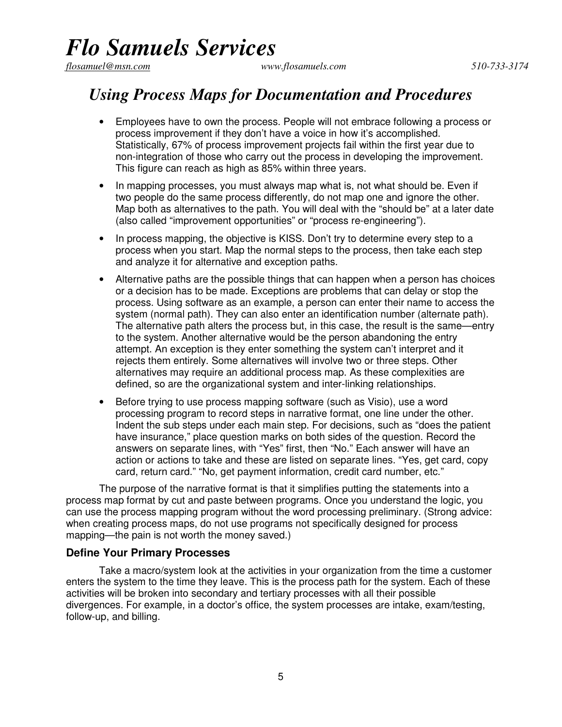flosamuel@msn.com

*flosamuel@msn.com www.flosamuels.com 510-733-3174* 

### *Using Process Maps for Documentation and Procedures*

- Employees have to own the process. People will not embrace following a process or process improvement if they don't have a voice in how it's accomplished. Statistically, 67% of process improvement projects fail within the first year due to non-integration of those who carry out the process in developing the improvement. This figure can reach as high as 85% within three years.
- In mapping processes, you must always map what is, not what should be. Even if two people do the same process differently, do not map one and ignore the other. Map both as alternatives to the path. You will deal with the "should be" at a later date (also called "improvement opportunities" or "process re-engineering").
- In process mapping, the objective is KISS. Don't try to determine every step to a process when you start. Map the normal steps to the process, then take each step and analyze it for alternative and exception paths.
- Alternative paths are the possible things that can happen when a person has choices or a decision has to be made. Exceptions are problems that can delay or stop the process. Using software as an example, a person can enter their name to access the system (normal path). They can also enter an identification number (alternate path). The alternative path alters the process but, in this case, the result is the same—entry to the system. Another alternative would be the person abandoning the entry attempt. An exception is they enter something the system can't interpret and it rejects them entirely. Some alternatives will involve two or three steps. Other alternatives may require an additional process map. As these complexities are defined, so are the organizational system and inter-linking relationships.
- Before trying to use process mapping software (such as Visio), use a word processing program to record steps in narrative format, one line under the other. Indent the sub steps under each main step. For decisions, such as "does the patient have insurance," place question marks on both sides of the question. Record the answers on separate lines, with "Yes" first, then "No." Each answer will have an action or actions to take and these are listed on separate lines. "Yes, get card, copy card, return card." "No, get payment information, credit card number, etc."

The purpose of the narrative format is that it simplifies putting the statements into a process map format by cut and paste between programs. Once you understand the logic, you can use the process mapping program without the word processing preliminary. (Strong advice: when creating process maps, do not use programs not specifically designed for process mapping—the pain is not worth the money saved.)

#### **Define Your Primary Processes**

Take a macro/system look at the activities in your organization from the time a customer enters the system to the time they leave. This is the process path for the system. Each of these activities will be broken into secondary and tertiary processes with all their possible divergences. For example, in a doctor's office, the system processes are intake, exam/testing, follow-up, and billing.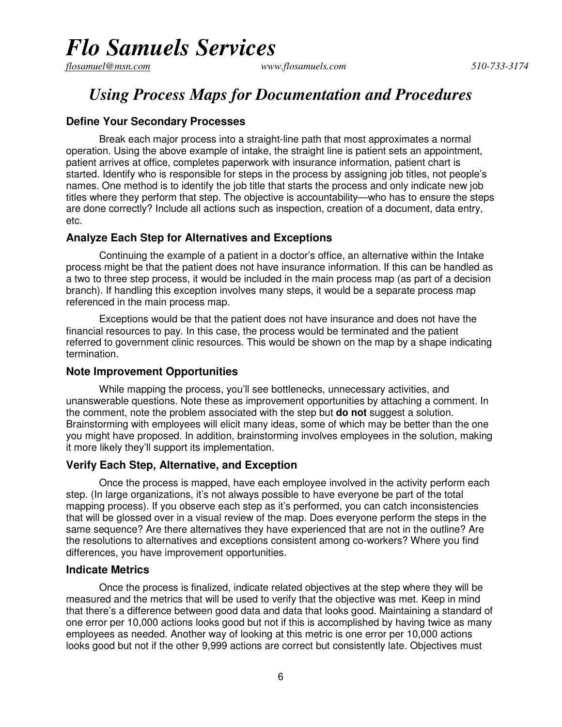flosamuel@msn.com

### *Using Process Maps for Documentation and Procedures*

#### **Define Your Secondary Processes**

Break each major process into a straight-line path that most approximates a normal operation. Using the above example of intake, the straight line is patient sets an appointment, patient arrives at office, completes paperwork with insurance information, patient chart is started. Identify who is responsible for steps in the process by assigning job titles, not people's names. One method is to identify the job title that starts the process and only indicate new job titles where they perform that step. The objective is accountability—who has to ensure the steps are done correctly? Include all actions such as inspection, creation of a document, data entry, etc.

#### **Analyze Each Step for Alternatives and Exceptions**

Continuing the example of a patient in a doctor's office, an alternative within the Intake process might be that the patient does not have insurance information. If this can be handled as a two to three step process, it would be included in the main process map (as part of a decision branch). If handling this exception involves many steps, it would be a separate process map referenced in the main process map.

Exceptions would be that the patient does not have insurance and does not have the financial resources to pay. In this case, the process would be terminated and the patient referred to government clinic resources. This would be shown on the map by a shape indicating termination.

#### **Note Improvement Opportunities**

While mapping the process, you'll see bottlenecks, unnecessary activities, and unanswerable questions. Note these as improvement opportunities by attaching a comment. In the comment, note the problem associated with the step but **do not** suggest a solution. Brainstorming with employees will elicit many ideas, some of which may be better than the one you might have proposed. In addition, brainstorming involves employees in the solution, making it more likely they'll support its implementation.

#### **Verify Each Step, Alternative, and Exception**

Once the process is mapped, have each employee involved in the activity perform each step. (In large organizations, it's not always possible to have everyone be part of the total mapping process). If you observe each step as it's performed, you can catch inconsistencies that will be glossed over in a visual review of the map. Does everyone perform the steps in the same sequence? Are there alternatives they have experienced that are not in the outline? Are the resolutions to alternatives and exceptions consistent among co-workers? Where you find differences, you have improvement opportunities.

#### **Indicate Metrics**

Once the process is finalized, indicate related objectives at the step where they will be measured and the metrics that will be used to verify that the objective was met. Keep in mind that there's a difference between good data and data that looks good. Maintaining a standard of one error per 10,000 actions looks good but not if this is accomplished by having twice as many employees as needed. Another way of looking at this metric is one error per 10,000 actions looks good but not if the other 9,999 actions are correct but consistently late. Objectives must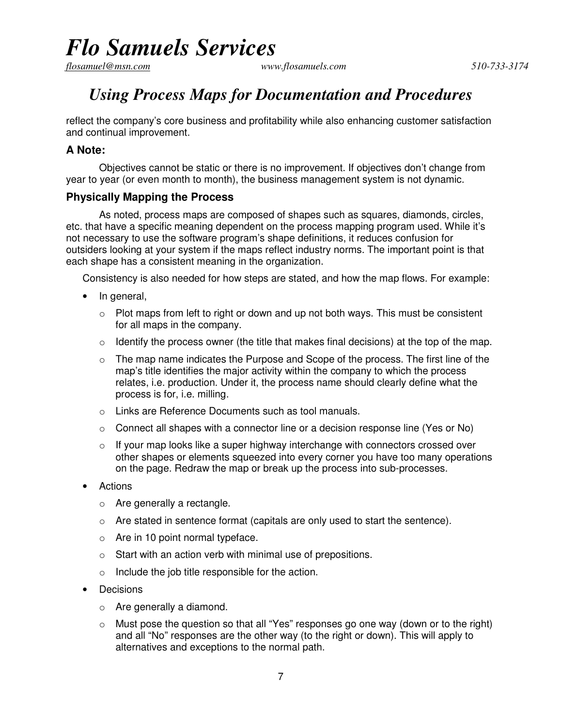flosamuel@msn.com

## *Using Process Maps for Documentation and Procedures*

reflect the company's core business and profitability while also enhancing customer satisfaction and continual improvement.

### **A Note:**

Objectives cannot be static or there is no improvement. If objectives don't change from year to year (or even month to month), the business management system is not dynamic.

### **Physically Mapping the Process**

As noted, process maps are composed of shapes such as squares, diamonds, circles, etc. that have a specific meaning dependent on the process mapping program used. While it's not necessary to use the software program's shape definitions, it reduces confusion for outsiders looking at your system if the maps reflect industry norms. The important point is that each shape has a consistent meaning in the organization.

Consistency is also needed for how steps are stated, and how the map flows. For example:

- In general,
	- $\circ$  Plot maps from left to right or down and up not both ways. This must be consistent for all maps in the company.
	- $\circ$  Identify the process owner (the title that makes final decisions) at the top of the map.
	- $\circ$  The map name indicates the Purpose and Scope of the process. The first line of the map's title identifies the major activity within the company to which the process relates, i.e. production. Under it, the process name should clearly define what the process is for, i.e. milling.
	- o Links are Reference Documents such as tool manuals.
	- $\circ$  Connect all shapes with a connector line or a decision response line (Yes or No)
	- $\circ$  If your map looks like a super highway interchange with connectors crossed over other shapes or elements squeezed into every corner you have too many operations on the page. Redraw the map or break up the process into sub-processes.
- **Actions** 
	- o Are generally a rectangle.
	- o Are stated in sentence format (capitals are only used to start the sentence).
	- o Are in 10 point normal typeface.
	- o Start with an action verb with minimal use of prepositions.
	- o Include the job title responsible for the action.
- **Decisions** 
	- o Are generally a diamond.
	- o Must pose the question so that all "Yes" responses go one way (down or to the right) and all "No" responses are the other way (to the right or down). This will apply to alternatives and exceptions to the normal path.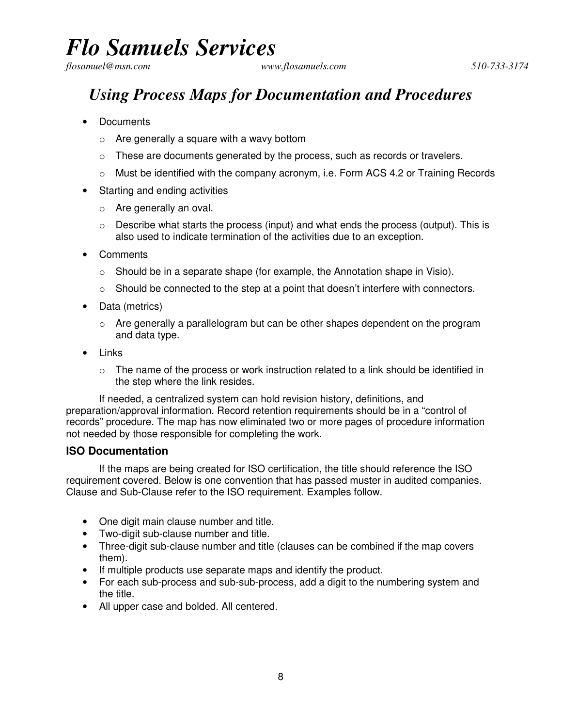## *flosamuel@msn.com www.flosamuels.com* 510-733-3174 *510-733-3174 Using Process Maps for Documentation and Procedures*

- Documents
	- $\circ$  Are generally a square with a wavy bottom
	- o These are documents generated by the process, such as records or travelers.
	- $\circ$  Must be identified with the company acronym, i.e. Form ACS 4.2 or Training Records
- Starting and ending activities
	- o Are generally an oval.
	- $\circ$  Describe what starts the process (input) and what ends the process (output). This is also used to indicate termination of the activities due to an exception.
- Comments
	- o Should be in a separate shape (for example, the Annotation shape in Visio).
	- $\circ$  Should be connected to the step at a point that doesn't interfere with connectors.
- Data (metrics)
	- o Are generally a parallelogram but can be other shapes dependent on the program and data type.
- Links
	- $\circ$  The name of the process or work instruction related to a link should be identified in the step where the link resides.

If needed, a centralized system can hold revision history, definitions, and preparation/approval information. Record retention requirements should be in a "control of records" procedure. The map has now eliminated two or more pages of procedure information not needed by those responsible for completing the work.

#### **ISO Documentation**

If the maps are being created for ISO certification, the title should reference the ISO requirement covered. Below is one convention that has passed muster in audited companies. Clause and Sub-Clause refer to the ISO requirement. Examples follow.

- One digit main clause number and title.
- Two-digit sub-clause number and title.
- Three-digit sub-clause number and title (clauses can be combined if the map covers them).
- If multiple products use separate maps and identify the product.
- For each sub-process and sub-sub-process, add a digit to the numbering system and the title.
- All upper case and bolded. All centered.